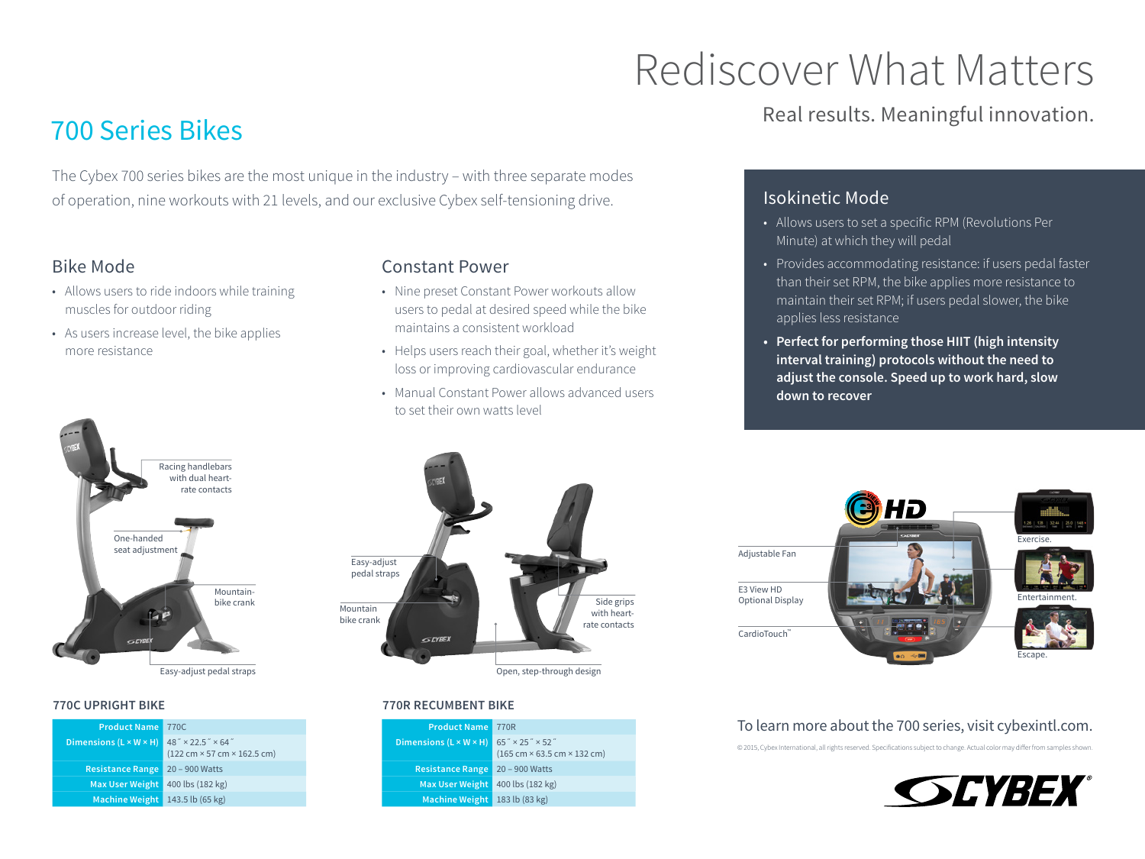# Rediscover What Matters

# 700 Series Bikes

The Cybex 700 series bikes are the most unique in the industry – with three separate modes of operation, nine workouts with 21 levels, and our exclusive Cybex self-tensioning drive.

## Bike Mode

- Allows users to ride indoors while training muscles for outdoor riding
- As users increase level, the bike applies more resistance



#### Constant Power

- Nine preset Constant Power workouts allow users to pedal at desired speed while the bike maintains a consistent workload
- Helps users reach their goal, whether it's weight loss or improving cardiovascular endurance
- Manual Constant Power allows advanced users to set their own watts level

## Easy-adjust pedal straps Side grips Mountain with heartbike crank rate contacts **GEYBEX** Open, step-through design

**770R RECUMBENT BIKE**

| <b>Product Name</b>                | 770R                                                                                              |
|------------------------------------|---------------------------------------------------------------------------------------------------|
| Dimensions $(L \times W \times H)$ | $65'' \times 25'' \times 52''$<br>$(165 \text{ cm} \times 63.5 \text{ cm} \times 132 \text{ cm})$ |
| <b>Resistance Range</b>            | 20 - 900 Watts                                                                                    |
| <b>Max User Weight</b>             | 400 lbs (182 kg)                                                                                  |
| <b>Machine Weight</b>              | 183 lb (83 kg)                                                                                    |

## Real results. Meaningful innovation.

## Isokinetic Mode

- Allows users to set a specific RPM (Revolutions Per Minute) at which they will pedal
- Provides accommodating resistance: if users pedal faster than their set RPM, the bike applies more resistance to maintain their set RPM; if users pedal slower, the bike applies less resistance
- **• Perfect for performing those HIIT (high intensity interval training) protocols without the need to adjust the console. Speed up to work hard, slow down to recover**



#### To learn more about the 700 series, visit cybexintl.com.

© 2015, Cybex International, all rights reserved. Specifications subject to change. Actual color may differ from samples shown.



**770C UPRIGHT BIKE**

| <b>Product Name</b>                | 770C                                                                                                |
|------------------------------------|-----------------------------------------------------------------------------------------------------|
| Dimensions $(L \times W \times H)$ | $48'' \times 22.5'' \times 64''$<br>$(122 \text{ cm} \times 57 \text{ cm} \times 162.5 \text{ cm})$ |
| <b>Resistance Range</b>            | $20 - 900$ Watts                                                                                    |
| <b>Max User Weight</b>             | 400 lbs (182 kg)                                                                                    |
| <b>Machine Weight</b>              | 143.5 lb (65 kg)                                                                                    |